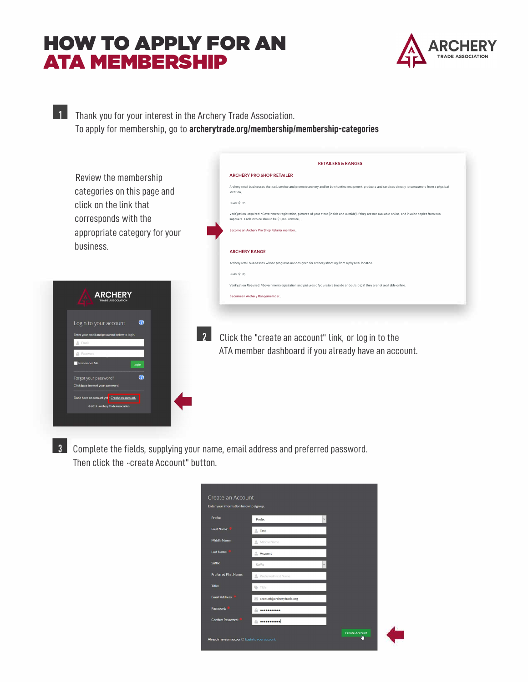## **ATA MEMBERSHIP HOW TO APPLY FOR AN**



**1** Thank you for your interest in the Archery Trade Association. To apply for membership, go to **arch[erytrade.org/membership/membership-categories](https://archerytrade.org/membership/membership-categories/)** 



 $\overline{\phantom{a}3\phantom{a}}$  Complete the fields, supplying your name, email address and preferred password. Then click the *"*create Account" button.

| Create an Account                               |                                                      |                       |  |
|-------------------------------------------------|------------------------------------------------------|-----------------------|--|
| Enter your information below to sign up.        |                                                      |                       |  |
| Prefix:                                         | Prefix                                               |                       |  |
| <b>First Name:</b>                              | <b>Fest</b>                                          |                       |  |
| Middle Name:                                    | $\stackrel{\circ}{\phantom{}_{\sim}}$<br>Middle Name |                       |  |
| Last Name:                                      | Account                                              |                       |  |
| Suffix:                                         | Suffix                                               |                       |  |
| <b>Preferred First Name:</b>                    | Preferred First Name                                 |                       |  |
| <b>Title:</b>                                   | Title                                                |                       |  |
| <b>Email Address:</b>                           | account@archerytrade.org                             |                       |  |
| Password:                                       |                                                      |                       |  |
| Confirm Password:                               |                                                      |                       |  |
| Already have an account? Login to your account. |                                                      | <b>Create Account</b> |  |